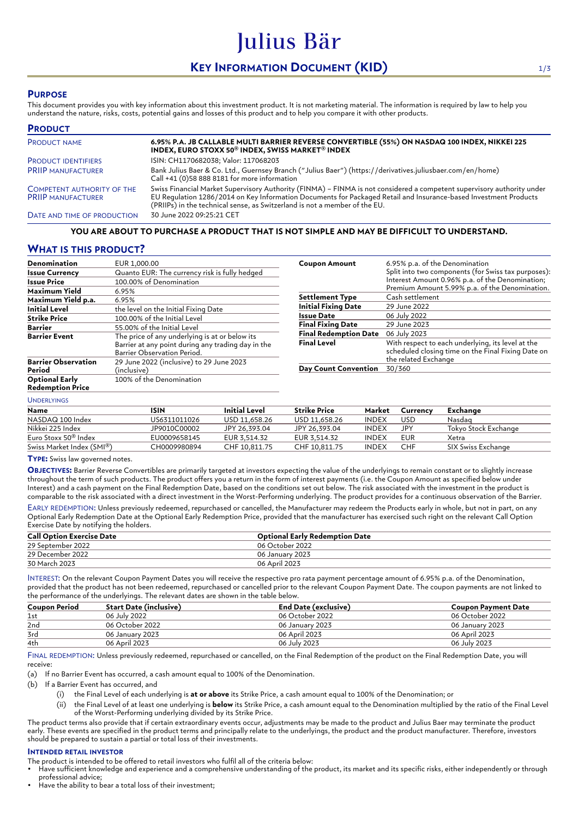# **KEY INFORMATION DOCUMENT (KID)** 1/3

Julius Bär

## **PURPOSE**

This document provides you with key information about this investment product. It is not marketing material. The information is required by law to help you understand the nature, risks, costs, potential gains and losses of this product and to help you compare it with other products.

| <b>PRODUCT</b>                                          |                                                                                                                                                                                                                                                                                                                          |
|---------------------------------------------------------|--------------------------------------------------------------------------------------------------------------------------------------------------------------------------------------------------------------------------------------------------------------------------------------------------------------------------|
| <b>PRODUCT NAME</b>                                     | 6.95% P.A. JB CALLABLE MULTI BARRIER REVERSE CONVERTIBLE (55%) ON NASDAQ 100 INDEX, NIKKEI 225<br>INDEX, EURO STOXX 50 <sup>®</sup> INDEX, SWISS MARKET <sup>®</sup> INDEX                                                                                                                                               |
| <b>PRODUCT IDENTIFIERS</b>                              | ISIN: CH1170682038; Valor: 117068203                                                                                                                                                                                                                                                                                     |
| <b>PRIIP MANUFACTURER</b>                               | Bank Julius Baer & Co. Ltd., Guernsey Branch ("Julius Baer") (https://derivatives.juliusbaer.com/en/home)<br>Call +41 (0)58 888 8181 for more information                                                                                                                                                                |
| COMPETENT AUTHORITY OF THE<br><b>PRIIP MANUFACTURER</b> | Swiss Financial Market Supervisory Authority (FINMA) - FINMA is not considered a competent supervisory authority under<br>EU Regulation 1286/2014 on Key Information Documents for Packaged Retail and Insurance-based Investment Products<br>(PRIIPs) in the technical sense, as Switzerland is not a member of the EU. |
| DATE AND TIME OF PRODUCTION                             | 30 June 2022 09:25:21 CET                                                                                                                                                                                                                                                                                                |

#### **YOU ARE ABOUT TO PURCHASE A PRODUCT THAT IS NOT SIMPLE AND MAY BE DIFFICULT TO UNDERSTAND.**

## **WHAT IS THIS PRODUCT?**

| Denomination                                     | EUR 1,000.00                                                                                                                        |  |  |  |  |
|--------------------------------------------------|-------------------------------------------------------------------------------------------------------------------------------------|--|--|--|--|
| <b>Issue Currency</b>                            | Quanto EUR: The currency risk is fully hedged                                                                                       |  |  |  |  |
| <b>Issue Price</b>                               | 100.00% of Denomination                                                                                                             |  |  |  |  |
| Maximum Yield                                    | 6.95%                                                                                                                               |  |  |  |  |
| Maximum Yield p.a.                               | 6.95%                                                                                                                               |  |  |  |  |
| <b>Initial Level</b>                             | the level on the Initial Fixing Date                                                                                                |  |  |  |  |
| <b>Strike Price</b>                              | 100.00% of the Initial Level                                                                                                        |  |  |  |  |
| Barrier                                          | 55.00% of the Initial Level                                                                                                         |  |  |  |  |
| <b>Barrier Event</b>                             | The price of any underlying is at or below its<br>Barrier at any point during any trading day in the<br>Barrier Observation Period. |  |  |  |  |
| <b>Barrier Observation</b><br>Period             | 29 June 2022 (inclusive) to 29 June 2023<br>(inclusive)                                                                             |  |  |  |  |
| <b>Optional Early</b><br><b>Redemption Price</b> | 100% of the Denomination                                                                                                            |  |  |  |  |

| <b>Coupon Amount</b>         | 6.95% p.a. of the Denomination<br>Split into two components (for Swiss tax purposes):<br>Interest Amount 0.96% p.a. of the Denomination;<br>Premium Amount 5.99% p.a. of the Denomination. |
|------------------------------|--------------------------------------------------------------------------------------------------------------------------------------------------------------------------------------------|
| <b>Settlement Type</b>       | Cash settlement                                                                                                                                                                            |
| <b>Initial Fixing Date</b>   | 29 June 2022                                                                                                                                                                               |
| Issue Date                   | 06 July 2022                                                                                                                                                                               |
| <b>Final Fixing Date</b>     | 29 June 2023                                                                                                                                                                               |
| <b>Final Redemption Date</b> | 06 July 2023                                                                                                                                                                               |
| <b>Final Level</b>           | With respect to each underlying, its level at the<br>scheduled closing time on the Final Fixing Date on<br>the related Exchange                                                            |
| <b>Day Count Convention</b>  | 30/360                                                                                                                                                                                     |

#### UNDERLYINGS

| Name                             | ISIN         | Initial Level | <b>Strike Price</b> | Market       | Currency | Exchange             |
|----------------------------------|--------------|---------------|---------------------|--------------|----------|----------------------|
| NASDAQ 100 Index                 | US6311011026 | USD 11.658.26 | USD 11.658.26       | <b>INDEX</b> | USD      | Nasdag               |
| Nikkei 225 Index                 | JP9010C00002 | JPY 26.393.04 | JPY 26.393.04       | <b>INDEX</b> | JPY      | Tokvo Stock Exchange |
| Euro Stoxx 50 <sup>®</sup> Index | EU0009658145 | EUR 3.514.32  | EUR 3.514.32        | INDEX        | EUR      | Xetra                |
| Swiss Market Index (SMI®)        | CH0009980894 | CHF 10.811.75 | CHF 10.811.75       | <b>INDEX</b> | CHF      | SIX Swiss Exchange   |

#### **TYPE:** Swiss law governed notes.

**OBJECTIVES:** Barrier Reverse Convertibles are primarily targeted at investors expecting the value of the underlyings to remain constant or to slightly increase throughout the term of such products. The product offers you a return in the form of interest payments (i.e. the Coupon Amount as specified below under Interest) and a cash payment on the Final Redemption Date, based on the conditions set out below. The risk associated with the investment in the product is comparable to the risk associated with a direct investment in the Worst-Performing underlying. The product provides for a continuous observation of the Barrier.

EARLY REDEMPTION: Unless previously redeemed, repurchased or cancelled, the Manufacturer may redeem the Products early in whole, but not in part, on any Optional Early Redemption Date at the Optional Early Redemption Price, provided that the manufacturer has exercised such right on the relevant Call Option Exercise Date by notifying the holders.

| <b>Call Option Exercise Date</b> | <b>Optional Early Redemption Date</b> |
|----------------------------------|---------------------------------------|
| 29 September 2022                | 06 October 2022                       |
| 29 December 2022                 | 06 January 2023                       |
| 30 March 2023                    | 06 April 2023                         |

INTEREST: On the relevant Coupon Payment Dates you will receive the respective pro rata payment percentage amount of 6.95% p.a. of the Denomination, provided that the product has not been redeemed, repurchased or cancelled prior to the relevant Coupon Payment Date. The coupon payments are not linked to the performance of the underlyings. The relevant dates are shown in the table below.

| <b>Coupon Period</b> | Start Date (inclusive) | <b>End Date (exclusive)</b> | Coupon Payment Date |
|----------------------|------------------------|-----------------------------|---------------------|
| 1st                  | 06 July 2022           | 06 October 2022             | 06 October 2022     |
| 2nd                  | 06 October 2022        | 06 January 2023             | 06 January 2023     |
| 3rd                  | 06 January 2023        | 06 April 2023               | 06 April 2023       |
| 4th                  | 06 April 2023          | 06 July 2023                | 06 July 2023        |

FINAL REDEMPTION: Unless previously redeemed, repurchased or cancelled, on the Final Redemption of the product on the Final Redemption Date, you will receive:

(a) If no Barrier Event has occurred, a cash amount equal to 100% of the Denomination.

(b) If a Barrier Event has occurred, and

- (i) the Final Level of each underlying is **at or above** its Strike Price, a cash amount equal to 100% of the Denomination; or
- (ii) the Final Level of at least one underlying is **below** its Strike Price, a cash amount equal to the Denomination multiplied by the ratio of the Final Level of the Worst-Performing underlying divided by its Strike Price.

The product terms also provide that if certain extraordinary events occur, adjustments may be made to the product and Julius Baer may terminate the product early. These events are specified in the product terms and principally relate to the underlyings, the product and the product manufacturer. Therefore, investors should be prepared to sustain a partial or total loss of their investments.

#### **INTENDED RETAIL INVESTOR**

The product is intended to be offered to retail investors who fulfil all of the criteria below:

• Have sufficient knowledge and experience and a comprehensive understanding of the product, its market and its specific risks, either independently or through professional advice;

Have the ability to bear a total loss of their investment: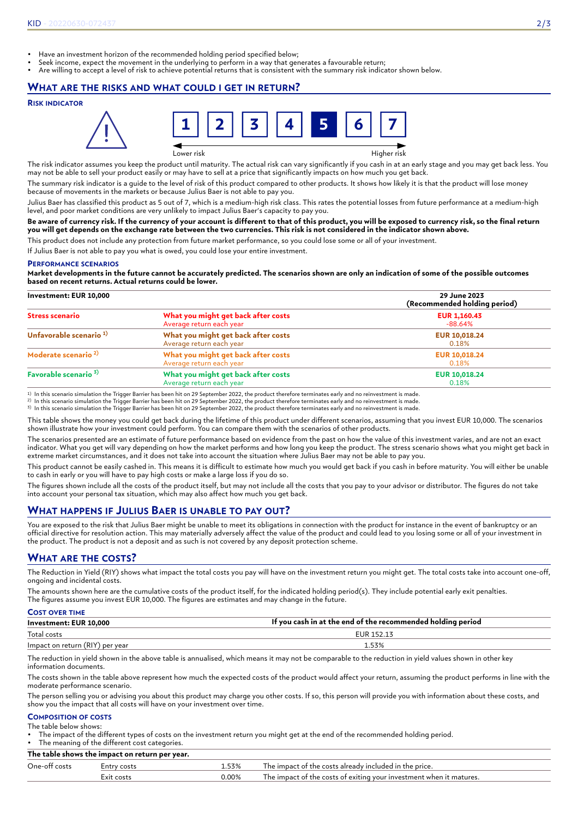- Have an investment horizon of the recommended holding period specified below;
- Seek income, expect the movement in the underlying to perform in a way that generates a favourable return;
- Are willing to accept a level of risk to achieve potential returns that is consistent with the summary risk indicator shown below.

### **WHAT ARE THE RISKS AND WHAT COULD I GET IN RETURN?**

#### **RISK INDICATOR**



The risk indicator assumes you keep the product until maturity. The actual risk can vary significantly if you cash in at an early stage and you may get back less. You may not be able to sell your product easily or may have to sell at a price that significantly impacts on how much you get back.

The summary risk indicator is a guide to the level of risk of this product compared to other products. It shows how likely it is that the product will lose money because of movements in the markets or because Julius Baer is not able to pay you.

Julius Baer has classified this product as 5 out of 7, which is a medium-high risk class. This rates the potential losses from future performance at a medium-high level, and poor market conditions are very unlikely to impact Julius Baer's capacity to pay you.

#### **Be aware of currency risk. If the currency of your account is different to that of this product, you will be exposed to currency risk, so the final return you will get depends on the exchange rate between the two currencies. This risk is not considered in the indicator shown above.**

This product does not include any protection from future market performance, so you could lose some or all of your investment.

If Julius Baer is not able to pay you what is owed, you could lose your entire investment.

#### **PERFORMANCE SCENARIOS**

**Market developments in the future cannot be accurately predicted. The scenarios shown are only an indication of some of the possible outcomes based on recent returns. Actual returns could be lower.**

#### **Investment: EUR 10,000 29 June 2023 (Recommended holding period) Stress scenario What you might get back after costs** Average return each year **EUR 1,160.43** -88.64% **Unfavorable scenario 1) What you might get back after costs** Average return each year **EUR 10,018.24** 0.18% **Moderate scenario 2) What you might get back after costs** Average return each year **EUR 10,018.24** 0.18% **Favorable scenario 3) What you might get back after costs** Average return each year **EUR 10,018.24** 0.18%

1) In this scenario simulation the Trigger Barrier has been hit on 29 September 2022, the product therefore terminates early and no reinvestment is made.<br><sup>2)</sup> In this scenario simulation the Trigger Barrier has been hit on

3) In this scenario simulation the Trigger Barrier has been hit on 29 September 2022, the product therefore terminates early and no reinvestment is made.

This table shows the money you could get back during the lifetime of this product under different scenarios, assuming that you invest EUR 10,000. The scenarios shown illustrate how your investment could perform. You can compare them with the scenarios of other products.

The scenarios presented are an estimate of future performance based on evidence from the past on how the value of this investment varies, and are not an exact indicator. What you get will vary depending on how the market performs and how long you keep the product. The stress scenario shows what you might get back in extreme market circumstances, and it does not take into account the situation where Julius Baer may not be able to pay you.

This product cannot be easily cashed in. This means it is difficult to estimate how much you would get back if you cash in before maturity. You will either be unable to cash in early or you will have to pay high costs or make a large loss if you do so.

The figures shown include all the costs of the product itself, but may not include all the costs that you pay to your advisor or distributor. The figures do not take into account your personal tax situation, which may also affect how much you get back.

## **WHAT HAPPENS IF JULIUS BAER IS UNABLE TO PAY OUT?**

You are exposed to the risk that Julius Baer might be unable to meet its obligations in connection with the product for instance in the event of bankruptcy or an official directive for resolution action. This may materially adversely affect the value of the product and could lead to you losing some or all of your investment in the product. The product is not a deposit and as such is not covered by any deposit protection scheme.

## **WHAT ARE THE COSTS?**

The Reduction in Yield (RIY) shows what impact the total costs you pay will have on the investment return you might get. The total costs take into account one-off, ongoing and incidental costs.

The amounts shown here are the cumulative costs of the product itself, for the indicated holding period(s). They include potential early exit penalties. The figures assume you invest EUR 10,000. The figures are estimates and may change in the future.

| <b>COST OVER TIME</b>           |                                                             |
|---------------------------------|-------------------------------------------------------------|
| Investment: EUR 10.000          | If you cash in at the end of the recommended holding period |
| Total costs                     | EUR 152.13                                                  |
| Impact on return (RIY) per year | 1.53%                                                       |

The reduction in yield shown in the above table is annualised, which means it may not be comparable to the reduction in yield values shown in other key information documents.

The costs shown in the table above represent how much the expected costs of the product would affect your return, assuming the product performs in line with the moderate performance scenario.

The person selling you or advising you about this product may charge you other costs. If so, this person will provide you with information about these costs, and show you the impact that all costs will have on your investment over time.

#### **COMPOSITION OF COSTS** The table below shows:

• The impact of the different types of costs on the investment return you might get at the end of the recommended holding period.

The meaning of the different cost categories. **The table shows the impact on return per year.**

| The capie shows the impact on return per year. |            |          |                                                                     |  |  |  |
|------------------------------------------------|------------|----------|---------------------------------------------------------------------|--|--|--|
| One-off costs<br>. 53%<br>⊨ntrv costs          |            |          | The impact of the costs already included in the price.              |  |  |  |
|                                                | Exit costs | $0.00\%$ | The impact of the costs of exiting your investment when it matures. |  |  |  |